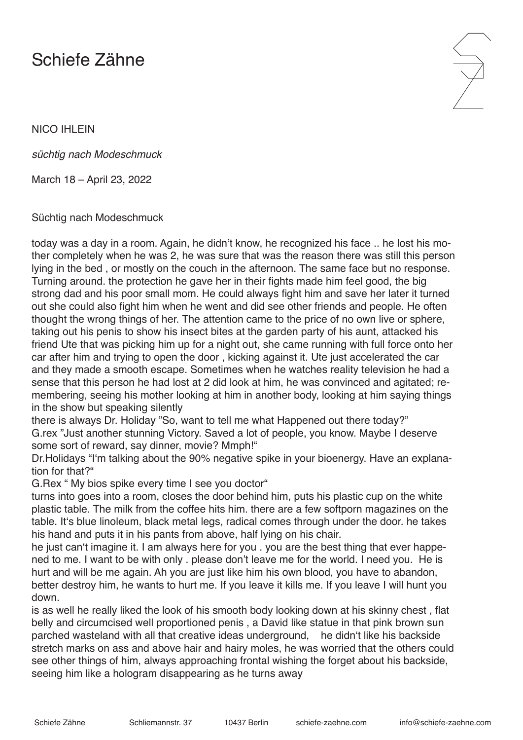## Schiefe Zähne

NICO IHLEIN

*süchtig nach Modeschmuck*

March 18 – April 23, 2022

Süchtig nach Modeschmuck

today was a day in a room. Again, he didn't know, he recognized his face .. he lost his mother completely when he was 2, he was sure that was the reason there was still this person lying in the bed , or mostly on the couch in the afternoon. The same face but no response. Turning around. the protection he gave her in their fights made him feel good, the big strong dad and his poor small mom. He could always fight him and save her later it turned out she could also fight him when he went and did see other friends and people. He often thought the wrong things of her. The attention came to the price of no own live or sphere, taking out his penis to show his insect bites at the garden party of his aunt, attacked his friend Ute that was picking him up for a night out, she came running with full force onto her car after him and trying to open the door , kicking against it. Ute just accelerated the car and they made a smooth escape. Sometimes when he watches reality television he had a sense that this person he had lost at 2 did look at him, he was convinced and agitated; remembering, seeing his mother looking at him in another body, looking at him saying things in the show but speaking silently

there is always Dr. Holiday "So, want to tell me what Happened out there today?" G.rex "Just another stunning Victory. Saved a lot of people, you know. Maybe I deserve some sort of reward, say dinner, movie? Mmph!"

Dr.Holidays "I'm talking about the 90% negative spike in your bioenergy. Have an explanation for that?"

G.Rex " My bios spike every time I see you doctor"

turns into goes into a room, closes the door behind him, puts his plastic cup on the white plastic table. The milk from the coffee hits him. there are a few softporn magazines on the table. It's blue linoleum, black metal legs, radical comes through under the door. he takes his hand and puts it in his pants from above, half lying on his chair.

he just can't imagine it. I am always here for you . you are the best thing that ever happened to me. I want to be with only . please don't leave me for the world. I need you. He is hurt and will be me again. Ah you are just like him his own blood, you have to abandon, better destroy him, he wants to hurt me. If you leave it kills me. If you leave I will hunt you down.

is as well he really liked the look of his smooth body looking down at his skinny chest , flat belly and circumcised well proportioned penis , a David like statue in that pink brown sun parched wasteland with all that creative ideas underground, he didn't like his backside stretch marks on ass and above hair and hairy moles, he was worried that the others could see other things of him, always approaching frontal wishing the forget about his backside, seeing him like a hologram disappearing as he turns away